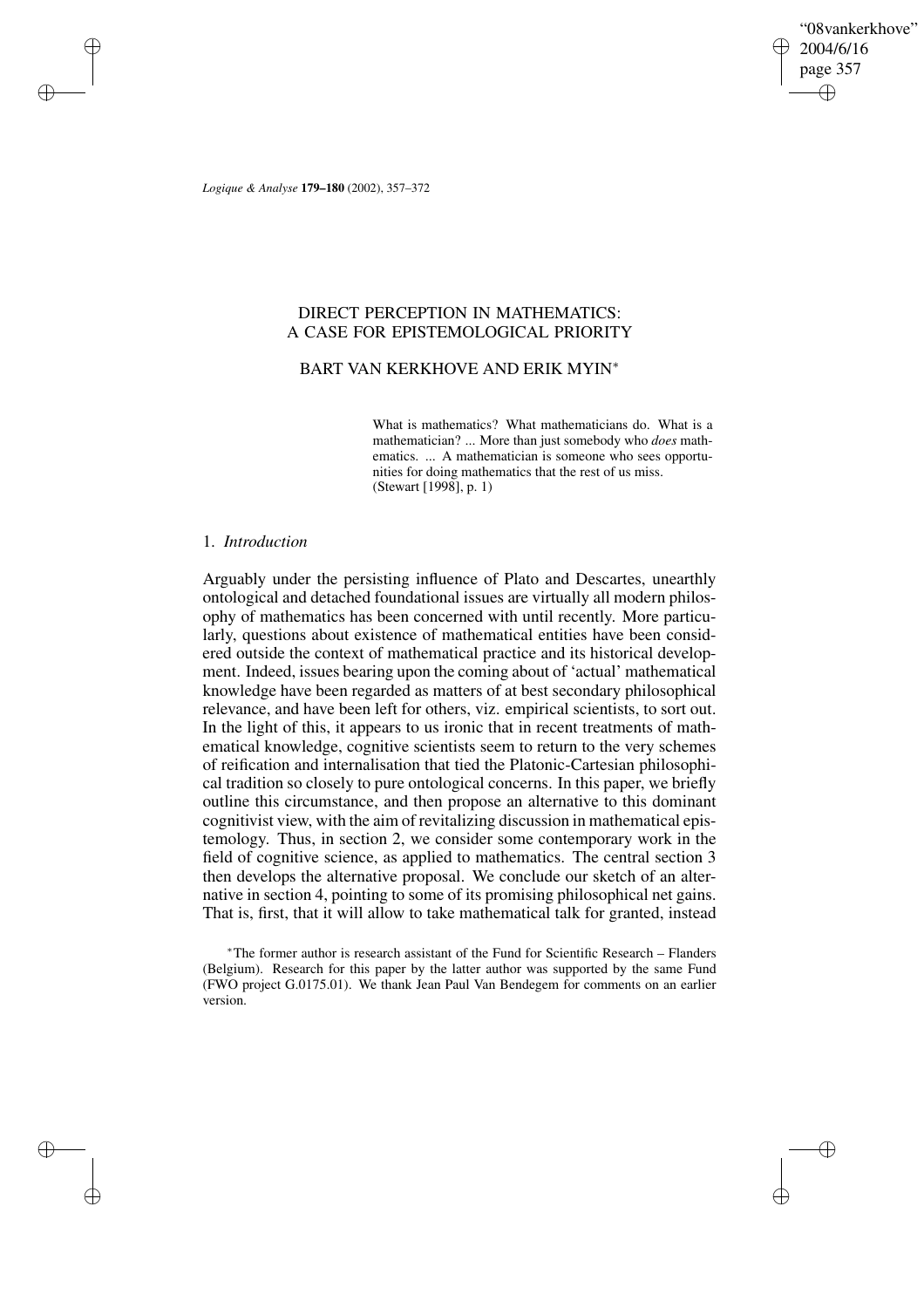"08vankerkhove" 2004/6/16 page 357 ✐ ✐

✐

✐

*Logique & Analyse* **179–180** (2002), 357–372

✐

✐

✐

✐

# DIRECT PERCEPTION IN MATHEMATICS: A CASE FOR EPISTEMOLOGICAL PRIORITY

# BART VAN KERKHOVE AND ERIK MYIN<sup>∗</sup>

What is mathematics? What mathematicians do. What is a mathematician? ... More than just somebody who *does* mathematics. ... A mathematician is someone who sees opportunities for doing mathematics that the rest of us miss. (Stewart [1998], p. 1)

# 1. *Introduction*

Arguably under the persisting influence of Plato and Descartes, unearthly ontological and detached foundational issues are virtually all modern philosophy of mathematics has been concerned with until recently. More particularly, questions about existence of mathematical entities have been considered outside the context of mathematical practice and its historical development. Indeed, issues bearing upon the coming about of 'actual' mathematical knowledge have been regarded as matters of at best secondary philosophical relevance, and have been left for others, viz. empirical scientists, to sort out. In the light of this, it appears to us ironic that in recent treatments of mathematical knowledge, cognitive scientists seem to return to the very schemes of reification and internalisation that tied the Platonic-Cartesian philosophical tradition so closely to pure ontological concerns. In this paper, we briefly outline this circumstance, and then propose an alternative to this dominant cognitivist view, with the aim of revitalizing discussion in mathematical epistemology. Thus, in section 2, we consider some contemporary work in the field of cognitive science, as applied to mathematics. The central section 3 then develops the alternative proposal. We conclude our sketch of an alternative in section 4, pointing to some of its promising philosophical net gains. That is, first, that it will allow to take mathematical talk for granted, instead

<sup>∗</sup>The former author is research assistant of the Fund for Scientific Research – Flanders (Belgium). Research for this paper by the latter author was supported by the same Fund (FWO project G.0175.01). We thank Jean Paul Van Bendegem for comments on an earlier version.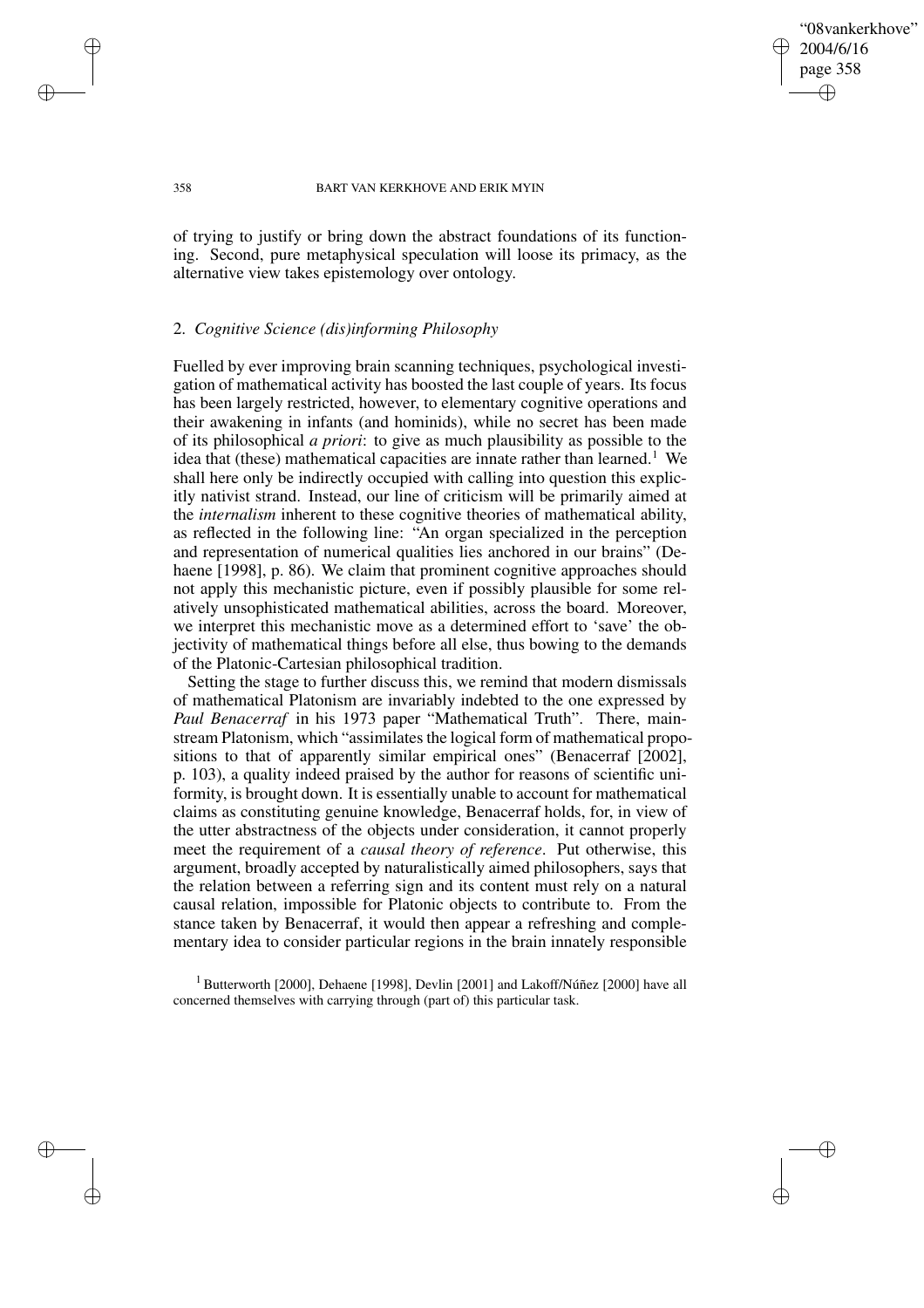"08vankerkhove" 2004/6/16 page 358 ✐ ✐

✐

✐

### 358 BART VAN KERKHOVE AND ERIK MYIN

of trying to justify or bring down the abstract foundations of its functioning. Second, pure metaphysical speculation will loose its primacy, as the alternative view takes epistemology over ontology.

## 2. *Cognitive Science (dis)informing Philosophy*

✐

✐

✐

✐

Fuelled by ever improving brain scanning techniques, psychological investigation of mathematical activity has boosted the last couple of years. Its focus has been largely restricted, however, to elementary cognitive operations and their awakening in infants (and hominids), while no secret has been made of its philosophical *a priori*: to give as much plausibility as possible to the idea that (these) mathematical capacities are innate rather than learned.<sup>1</sup> We shall here only be indirectly occupied with calling into question this explicitly nativist strand. Instead, our line of criticism will be primarily aimed at the *internalism* inherent to these cognitive theories of mathematical ability, as reflected in the following line: "An organ specialized in the perception and representation of numerical qualities lies anchored in our brains" (Dehaene [1998], p. 86). We claim that prominent cognitive approaches should not apply this mechanistic picture, even if possibly plausible for some relatively unsophisticated mathematical abilities, across the board. Moreover, we interpret this mechanistic move as a determined effort to 'save' the objectivity of mathematical things before all else, thus bowing to the demands of the Platonic-Cartesian philosophical tradition.

Setting the stage to further discuss this, we remind that modern dismissals of mathematical Platonism are invariably indebted to the one expressed by *Paul Benacerraf* in his 1973 paper "Mathematical Truth". There, mainstream Platonism, which "assimilates the logical form of mathematical propositions to that of apparently similar empirical ones" (Benacerraf [2002], p. 103), a quality indeed praised by the author for reasons of scientific uniformity, is brought down. It is essentially unable to account for mathematical claims as constituting genuine knowledge, Benacerraf holds, for, in view of the utter abstractness of the objects under consideration, it cannot properly meet the requirement of a *causal theory of reference*. Put otherwise, this argument, broadly accepted by naturalistically aimed philosophers, says that the relation between a referring sign and its content must rely on a natural causal relation, impossible for Platonic objects to contribute to. From the stance taken by Benacerraf, it would then appear a refreshing and complementary idea to consider particular regions in the brain innately responsible

<sup>1</sup> Butterworth [2000], Dehaene [1998], Devlin [2001] and Lakoff/Núñez [2000] have all concerned themselves with carrying through (part of) this particular task.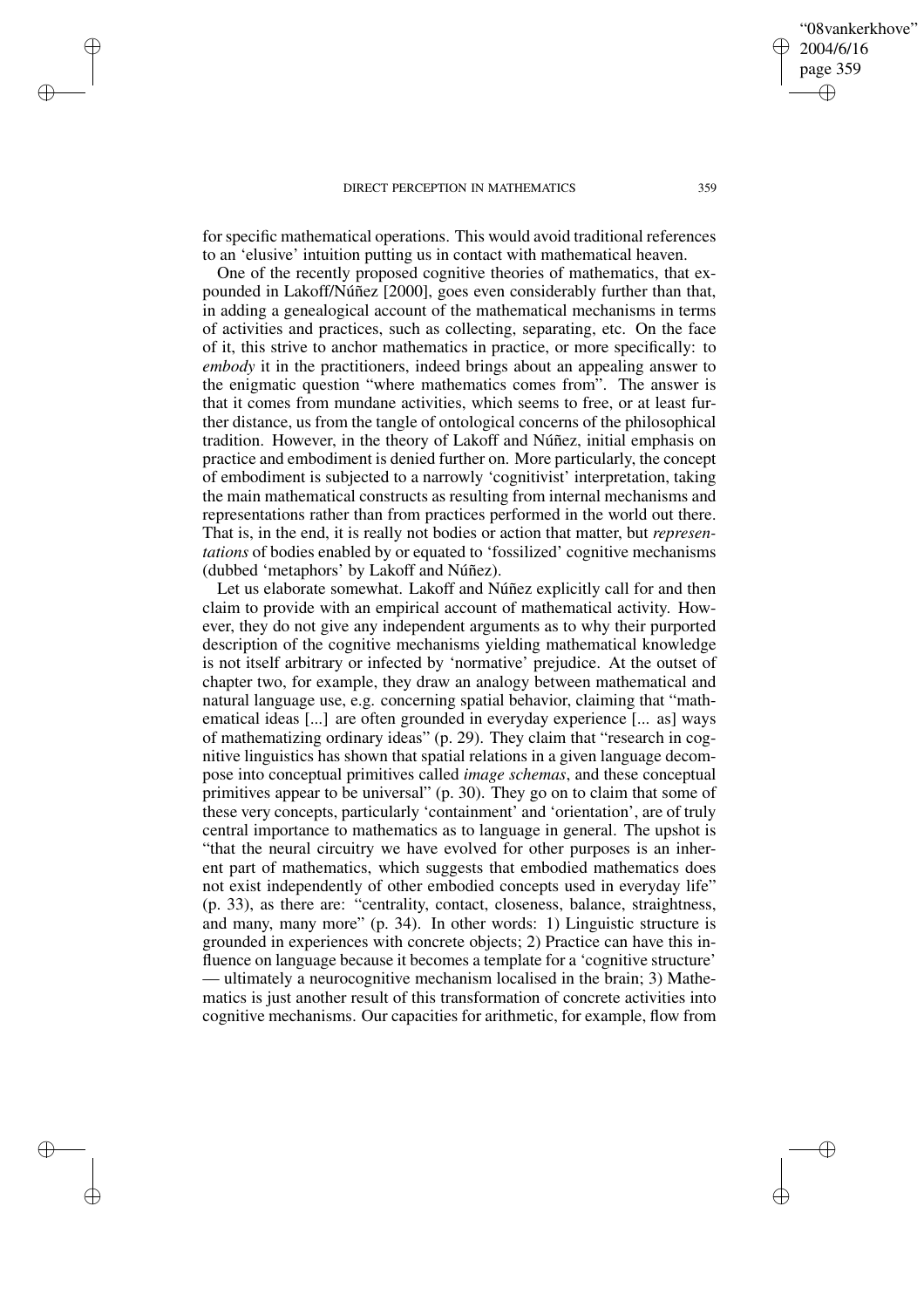✐

✐

✐

✐

for specific mathematical operations. This would avoid traditional references to an 'elusive' intuition putting us in contact with mathematical heaven.

One of the recently proposed cognitive theories of mathematics, that expounded in Lakoff/Núñez [2000], goes even considerably further than that, in adding a genealogical account of the mathematical mechanisms in terms of activities and practices, such as collecting, separating, etc. On the face of it, this strive to anchor mathematics in practice, or more specifically: to *embody* it in the practitioners, indeed brings about an appealing answer to the enigmatic question "where mathematics comes from". The answer is that it comes from mundane activities, which seems to free, or at least further distance, us from the tangle of ontological concerns of the philosophical tradition. However, in the theory of Lakoff and Núñez, initial emphasis on practice and embodiment is denied further on. More particularly, the concept of embodiment is subjected to a narrowly 'cognitivist' interpretation, taking the main mathematical constructs as resulting from internal mechanisms and representations rather than from practices performed in the world out there. That is, in the end, it is really not bodies or action that matter, but *representations* of bodies enabled by or equated to 'fossilized' cognitive mechanisms (dubbed 'metaphors' by Lakoff and Núñez).

Let us elaborate somewhat. Lakoff and Núñez explicitly call for and then claim to provide with an empirical account of mathematical activity. However, they do not give any independent arguments as to why their purported description of the cognitive mechanisms yielding mathematical knowledge is not itself arbitrary or infected by 'normative' prejudice. At the outset of chapter two, for example, they draw an analogy between mathematical and natural language use, e.g. concerning spatial behavior, claiming that "mathematical ideas [...] are often grounded in everyday experience [... as] ways of mathematizing ordinary ideas" (p. 29). They claim that "research in cognitive linguistics has shown that spatial relations in a given language decompose into conceptual primitives called *image schemas*, and these conceptual primitives appear to be universal" (p. 30). They go on to claim that some of these very concepts, particularly 'containment' and 'orientation', are of truly central importance to mathematics as to language in general. The upshot is "that the neural circuitry we have evolved for other purposes is an inherent part of mathematics, which suggests that embodied mathematics does not exist independently of other embodied concepts used in everyday life" (p. 33), as there are: "centrality, contact, closeness, balance, straightness, and many, many more" (p. 34). In other words: 1) Linguistic structure is grounded in experiences with concrete objects; 2) Practice can have this influence on language because it becomes a template for a 'cognitive structure' — ultimately a neurocognitive mechanism localised in the brain; 3) Mathematics is just another result of this transformation of concrete activities into cognitive mechanisms. Our capacities for arithmetic, for example, flow from

✐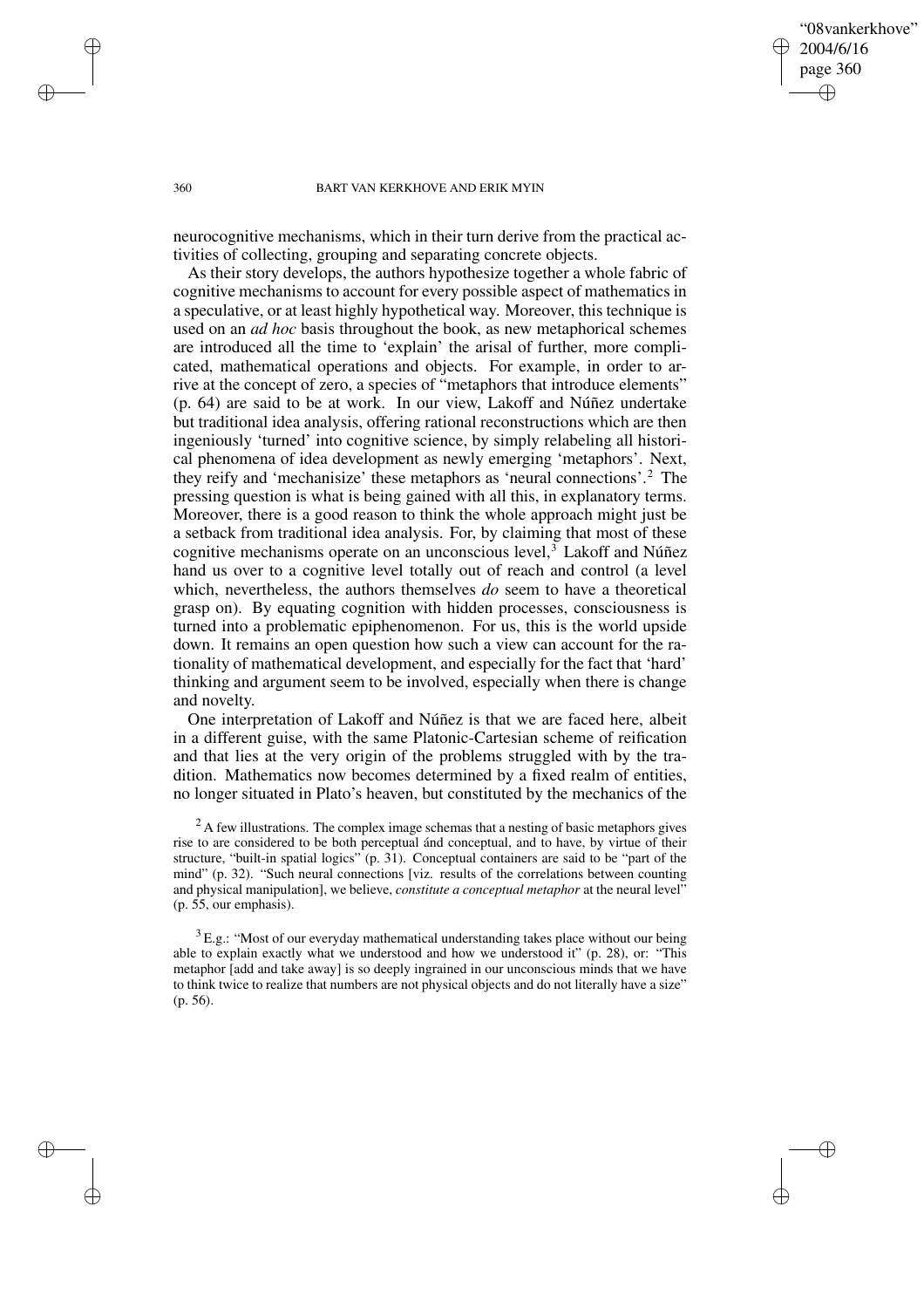### "08vankerkhove" 2004/6/16 page 360 ✐ ✐

✐

✐

### 360 BART VAN KERKHOVE AND ERIK MYIN

neurocognitive mechanisms, which in their turn derive from the practical activities of collecting, grouping and separating concrete objects.

As their story develops, the authors hypothesize together a whole fabric of cognitive mechanisms to account for every possible aspect of mathematics in a speculative, or at least highly hypothetical way. Moreover, this technique is used on an *ad hoc* basis throughout the book, as new metaphorical schemes are introduced all the time to 'explain' the arisal of further, more complicated, mathematical operations and objects. For example, in order to arrive at the concept of zero, a species of "metaphors that introduce elements" (p. 64) are said to be at work. In our view, Lakoff and Núñez undertake but traditional idea analysis, offering rational reconstructions which are then ingeniously 'turned' into cognitive science, by simply relabeling all historical phenomena of idea development as newly emerging 'metaphors'. Next, they reify and 'mechanisize' these metaphors as 'neural connections'.<sup>2</sup> The pressing question is what is being gained with all this, in explanatory terms. Moreover, there is a good reason to think the whole approach might just be a setback from traditional idea analysis. For, by claiming that most of these cognitive mechanisms operate on an unconscious level, $3$  Lakoff and Núñez hand us over to a cognitive level totally out of reach and control (a level which, nevertheless, the authors themselves *do* seem to have a theoretical grasp on). By equating cognition with hidden processes, consciousness is turned into a problematic epiphenomenon. For us, this is the world upside down. It remains an open question how such a view can account for the rationality of mathematical development, and especially for the fact that 'hard' thinking and argument seem to be involved, especially when there is change and novelty.

One interpretation of Lakoff and Núñez is that we are faced here, albeit in a different guise, with the same Platonic-Cartesian scheme of reification and that lies at the very origin of the problems struggled with by the tradition. Mathematics now becomes determined by a fixed realm of entities, no longer situated in Plato's heaven, but constituted by the mechanics of the

✐

✐

✐

<sup>&</sup>lt;sup>2</sup> A few illustrations. The complex image schemas that a nesting of basic metaphors gives rise to are considered to be both perceptual ánd conceptual, and to have, by virtue of their structure, "built-in spatial logics" (p. 31). Conceptual containers are said to be "part of the mind" (p. 32). "Such neural connections [viz. results of the correlations between counting and physical manipulation], we believe, *constitute a conceptual metaphor* at the neural level" (p. 55, our emphasis).

 $3E.g.:$  "Most of our everyday mathematical understanding takes place without our being able to explain exactly what we understood and how we understood it" (p. 28), or: "This metaphor [add and take away] is so deeply ingrained in our unconscious minds that we have to think twice to realize that numbers are not physical objects and do not literally have a size" (p. 56).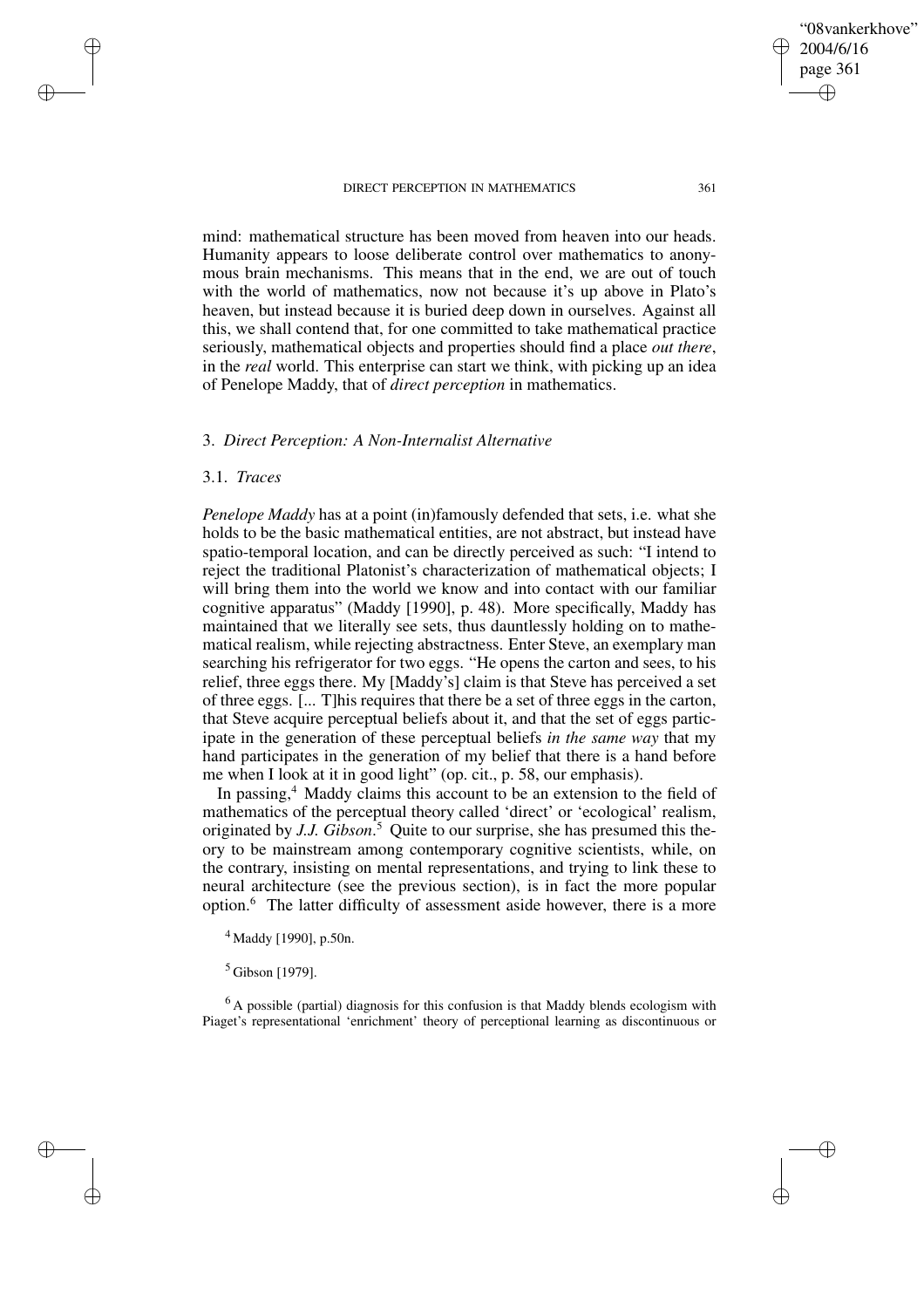"08vankerkhove" 2004/6/16 page 361 ✐ ✐

✐

✐

mind: mathematical structure has been moved from heaven into our heads. Humanity appears to loose deliberate control over mathematics to anonymous brain mechanisms. This means that in the end, we are out of touch with the world of mathematics, now not because it's up above in Plato's heaven, but instead because it is buried deep down in ourselves. Against all this, we shall contend that, for one committed to take mathematical practice seriously, mathematical objects and properties should find a place *out there*, in the *real* world. This enterprise can start we think, with picking up an idea of Penelope Maddy, that of *direct perception* in mathematics.

# 3. *Direct Perception: A Non-Internalist Alternative*

### 3.1. *Traces*

✐

✐

✐

✐

*Penelope Maddy* has at a point (in)famously defended that sets, i.e. what she holds to be the basic mathematical entities, are not abstract, but instead have spatio-temporal location, and can be directly perceived as such: "I intend to reject the traditional Platonist's characterization of mathematical objects; I will bring them into the world we know and into contact with our familiar cognitive apparatus" (Maddy [1990], p. 48). More specifically, Maddy has maintained that we literally see sets, thus dauntlessly holding on to mathematical realism, while rejecting abstractness. Enter Steve, an exemplary man searching his refrigerator for two eggs. "He opens the carton and sees, to his relief, three eggs there. My [Maddy's] claim is that Steve has perceived a set of three eggs. [... T]his requires that there be a set of three eggs in the carton, that Steve acquire perceptual beliefs about it, and that the set of eggs participate in the generation of these perceptual beliefs *in the same way* that my hand participates in the generation of my belief that there is a hand before me when I look at it in good light" (op. cit., p. 58, our emphasis).

In passing, $4$  Maddy claims this account to be an extension to the field of mathematics of the perceptual theory called 'direct' or 'ecological' realism, originated by *J.J. Gibson*. <sup>5</sup> Quite to our surprise, she has presumed this theory to be mainstream among contemporary cognitive scientists, while, on the contrary, insisting on mental representations, and trying to link these to neural architecture (see the previous section), is in fact the more popular option.<sup>6</sup> The latter difficulty of assessment aside however, there is a more

<sup>4</sup> Maddy [1990], p.50n.

<sup>5</sup> Gibson [1979].

 $<sup>6</sup>$  A possible (partial) diagnosis for this confusion is that Maddy blends ecologism with</sup> Piaget's representational 'enrichment' theory of perceptional learning as discontinuous or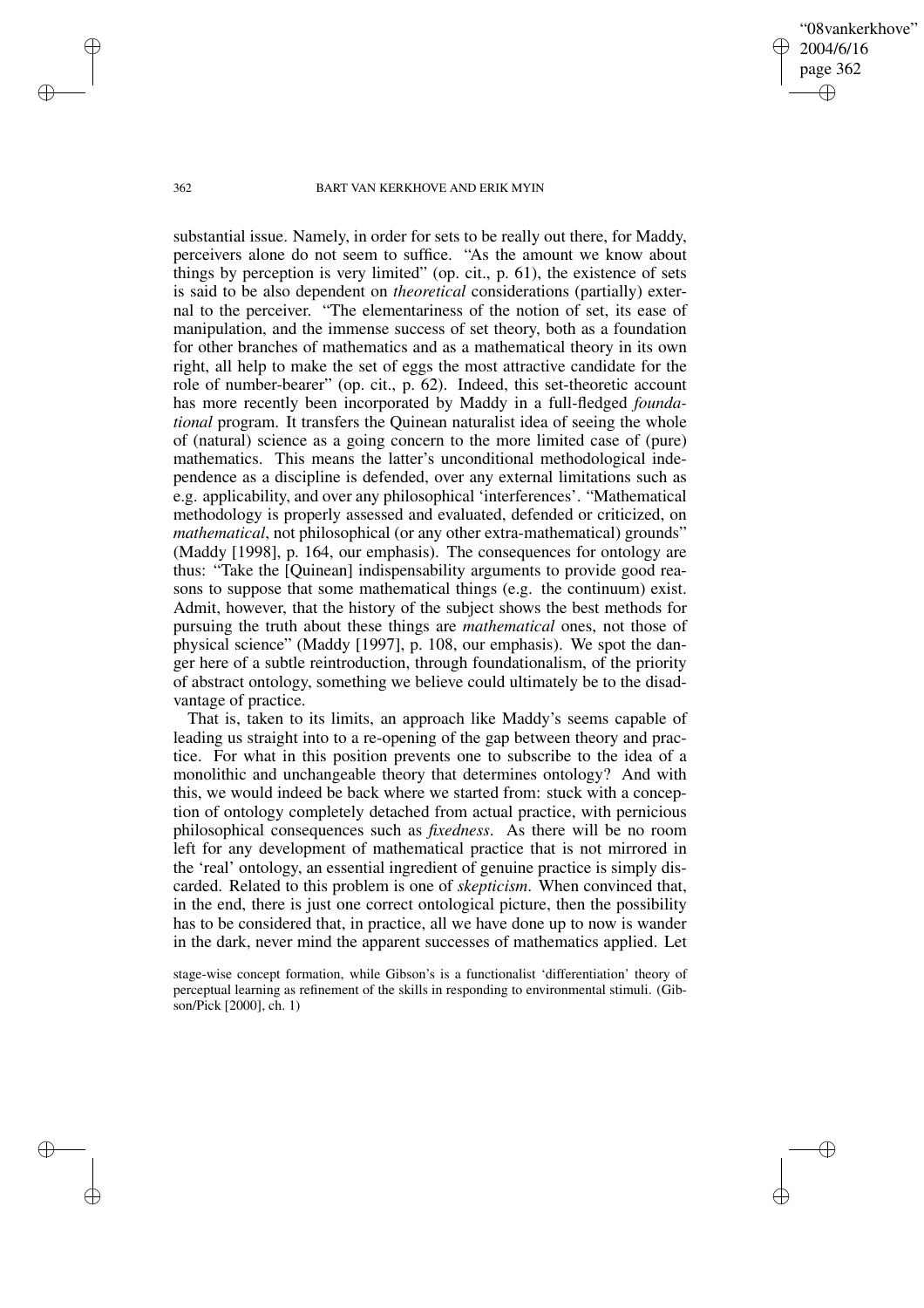"08vankerkhove" 2004/6/16 page 362 ✐ ✐

✐

✐

### 362 BART VAN KERKHOVE AND ERIK MYIN

substantial issue. Namely, in order for sets to be really out there, for Maddy, perceivers alone do not seem to suffice. "As the amount we know about things by perception is very limited" (op. cit., p. 61), the existence of sets is said to be also dependent on *theoretical* considerations (partially) external to the perceiver. "The elementariness of the notion of set, its ease of manipulation, and the immense success of set theory, both as a foundation for other branches of mathematics and as a mathematical theory in its own right, all help to make the set of eggs the most attractive candidate for the role of number-bearer" (op. cit., p. 62). Indeed, this set-theoretic account has more recently been incorporated by Maddy in a full-fledged *foundational* program. It transfers the Quinean naturalist idea of seeing the whole of (natural) science as a going concern to the more limited case of (pure) mathematics. This means the latter's unconditional methodological independence as a discipline is defended, over any external limitations such as e.g. applicability, and over any philosophical 'interferences'. "Mathematical methodology is properly assessed and evaluated, defended or criticized, on *mathematical*, not philosophical (or any other extra-mathematical) grounds" (Maddy [1998], p. 164, our emphasis). The consequences for ontology are thus: "Take the [Quinean] indispensability arguments to provide good reasons to suppose that some mathematical things (e.g. the continuum) exist. Admit, however, that the history of the subject shows the best methods for pursuing the truth about these things are *mathematical* ones, not those of physical science" (Maddy [1997], p. 108, our emphasis). We spot the danger here of a subtle reintroduction, through foundationalism, of the priority of abstract ontology, something we believe could ultimately be to the disadvantage of practice.

That is, taken to its limits, an approach like Maddy's seems capable of leading us straight into to a re-opening of the gap between theory and practice. For what in this position prevents one to subscribe to the idea of a monolithic and unchangeable theory that determines ontology? And with this, we would indeed be back where we started from: stuck with a conception of ontology completely detached from actual practice, with pernicious philosophical consequences such as *fixedness*. As there will be no room left for any development of mathematical practice that is not mirrored in the 'real' ontology, an essential ingredient of genuine practice is simply discarded. Related to this problem is one of *skepticism*. When convinced that, in the end, there is just one correct ontological picture, then the possibility has to be considered that, in practice, all we have done up to now is wander in the dark, never mind the apparent successes of mathematics applied. Let

stage-wise concept formation, while Gibson's is a functionalist 'differentiation' theory of perceptual learning as refinement of the skills in responding to environmental stimuli. (Gibson/Pick [2000], ch. 1)

✐

✐

✐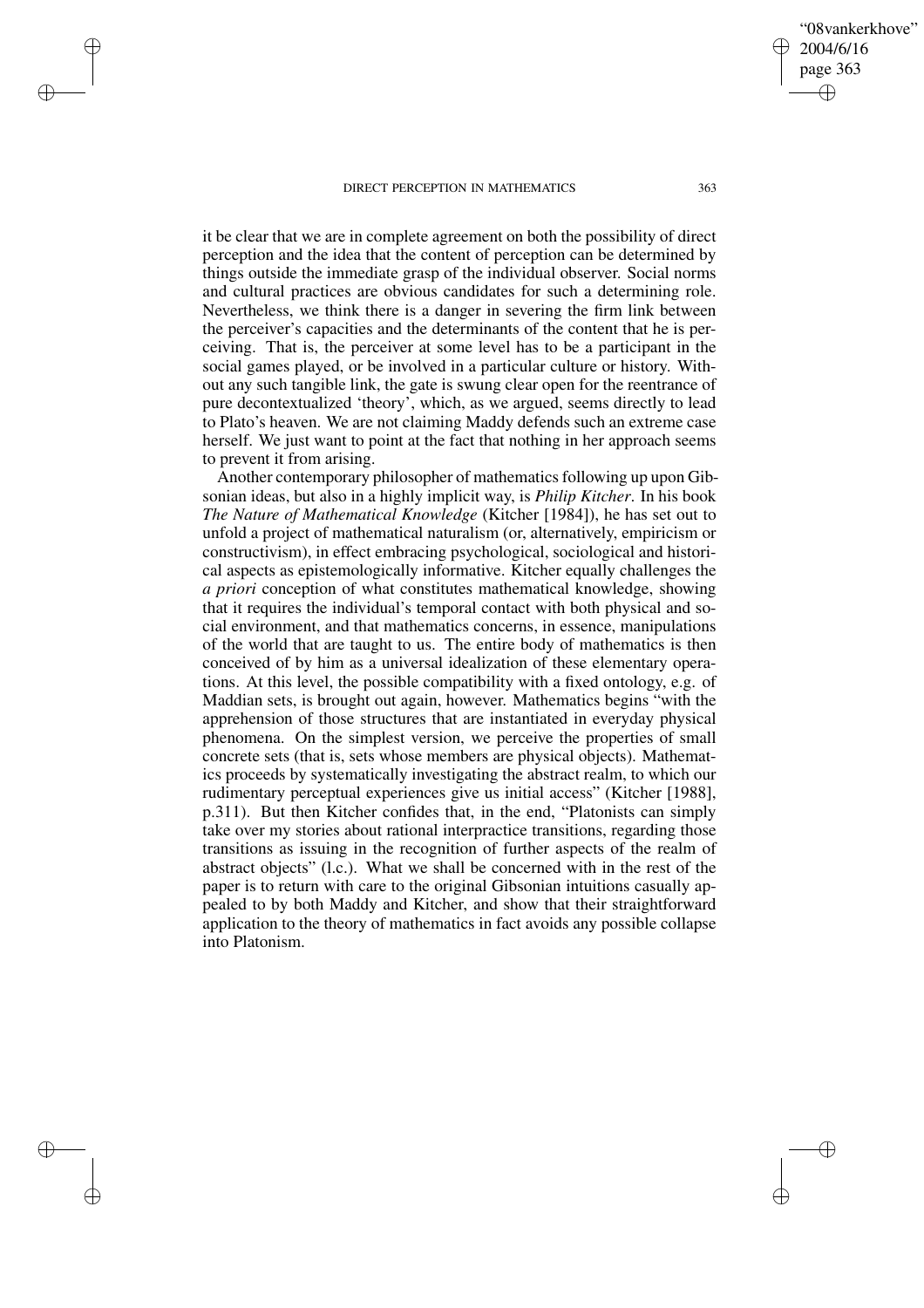herself. We just want to point at the fact that nothing in her approach seems

✐

✐

✐

✐

it be clear that we are in complete agreement on both the possibility of direct perception and the idea that the content of perception can be determined by things outside the immediate grasp of the individual observer. Social norms and cultural practices are obvious candidates for such a determining role. Nevertheless, we think there is a danger in severing the firm link between the perceiver's capacities and the determinants of the content that he is perceiving. That is, the perceiver at some level has to be a participant in the social games played, or be involved in a particular culture or history. Without any such tangible link, the gate is swung clear open for the reentrance of pure decontextualized 'theory', which, as we argued, seems directly to lead to Plato's heaven. We are not claiming Maddy defends such an extreme case

to prevent it from arising. Another contemporary philosopher of mathematics following up upon Gibsonian ideas, but also in a highly implicit way, is *Philip Kitcher*. In his book *The Nature of Mathematical Knowledge* (Kitcher [1984]), he has set out to unfold a project of mathematical naturalism (or, alternatively, empiricism or constructivism), in effect embracing psychological, sociological and historical aspects as epistemologically informative. Kitcher equally challenges the *a priori* conception of what constitutes mathematical knowledge, showing that it requires the individual's temporal contact with both physical and social environment, and that mathematics concerns, in essence, manipulations of the world that are taught to us. The entire body of mathematics is then conceived of by him as a universal idealization of these elementary operations. At this level, the possible compatibility with a fixed ontology, e.g. of Maddian sets, is brought out again, however. Mathematics begins "with the apprehension of those structures that are instantiated in everyday physical phenomena. On the simplest version, we perceive the properties of small concrete sets (that is, sets whose members are physical objects). Mathematics proceeds by systematically investigating the abstract realm, to which our rudimentary perceptual experiences give us initial access" (Kitcher [1988], p.311). But then Kitcher confides that, in the end, "Platonists can simply take over my stories about rational interpractice transitions, regarding those transitions as issuing in the recognition of further aspects of the realm of abstract objects" (l.c.). What we shall be concerned with in the rest of the paper is to return with care to the original Gibsonian intuitions casually appealed to by both Maddy and Kitcher, and show that their straightforward application to the theory of mathematics in fact avoids any possible collapse into Platonism.

"08vankerkhove"

2004/6/16 page 363

✐

✐

✐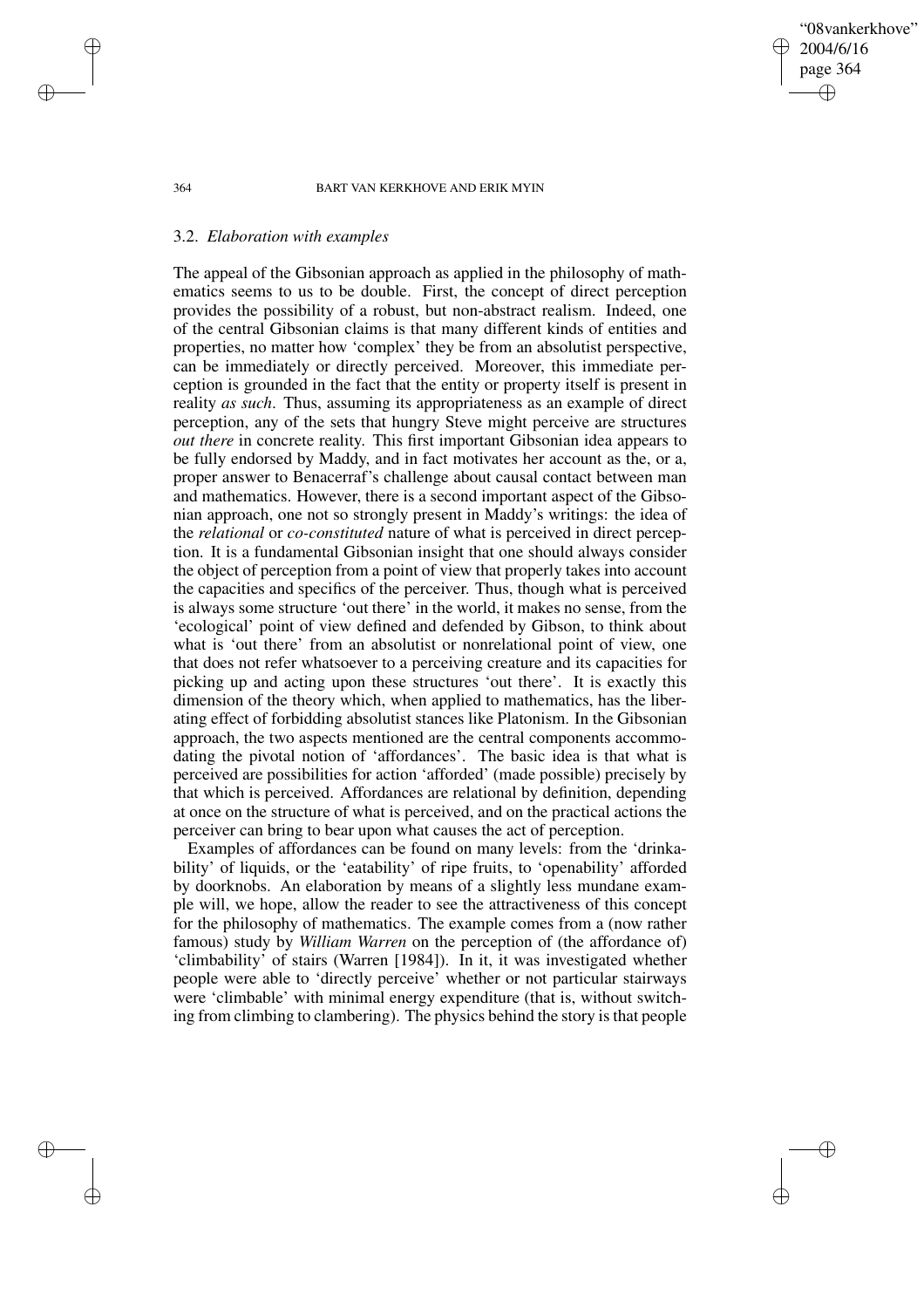### "08vankerkhove" 2004/6/16 page 364 ✐ ✐

✐

✐

### 364 BART VAN KERKHOVE AND ERIK MYIN

### 3.2. *Elaboration with examples*

The appeal of the Gibsonian approach as applied in the philosophy of mathematics seems to us to be double. First, the concept of direct perception provides the possibility of a robust, but non-abstract realism. Indeed, one of the central Gibsonian claims is that many different kinds of entities and properties, no matter how 'complex' they be from an absolutist perspective, can be immediately or directly perceived. Moreover, this immediate perception is grounded in the fact that the entity or property itself is present in reality *as such*. Thus, assuming its appropriateness as an example of direct perception, any of the sets that hungry Steve might perceive are structures *out there* in concrete reality. This first important Gibsonian idea appears to be fully endorsed by Maddy, and in fact motivates her account as the, or a, proper answer to Benacerraf's challenge about causal contact between man and mathematics. However, there is a second important aspect of the Gibsonian approach, one not so strongly present in Maddy's writings: the idea of the *relational* or *co-constituted* nature of what is perceived in direct perception. It is a fundamental Gibsonian insight that one should always consider the object of perception from a point of view that properly takes into account the capacities and specifics of the perceiver. Thus, though what is perceived is always some structure 'out there' in the world, it makes no sense, from the 'ecological' point of view defined and defended by Gibson, to think about what is 'out there' from an absolutist or nonrelational point of view, one that does not refer whatsoever to a perceiving creature and its capacities for picking up and acting upon these structures 'out there'. It is exactly this dimension of the theory which, when applied to mathematics, has the liberating effect of forbidding absolutist stances like Platonism. In the Gibsonian approach, the two aspects mentioned are the central components accommodating the pivotal notion of 'affordances'. The basic idea is that what is perceived are possibilities for action 'afforded' (made possible) precisely by that which is perceived. Affordances are relational by definition, depending at once on the structure of what is perceived, and on the practical actions the perceiver can bring to bear upon what causes the act of perception.

Examples of affordances can be found on many levels: from the 'drinkability' of liquids, or the 'eatability' of ripe fruits, to 'openability' afforded by doorknobs. An elaboration by means of a slightly less mundane example will, we hope, allow the reader to see the attractiveness of this concept for the philosophy of mathematics. The example comes from a (now rather famous) study by *William Warren* on the perception of (the affordance of) 'climbability' of stairs (Warren [1984]). In it, it was investigated whether people were able to 'directly perceive' whether or not particular stairways were 'climbable' with minimal energy expenditure (that is, without switching from climbing to clambering). The physics behind the story is that people

✐

✐

✐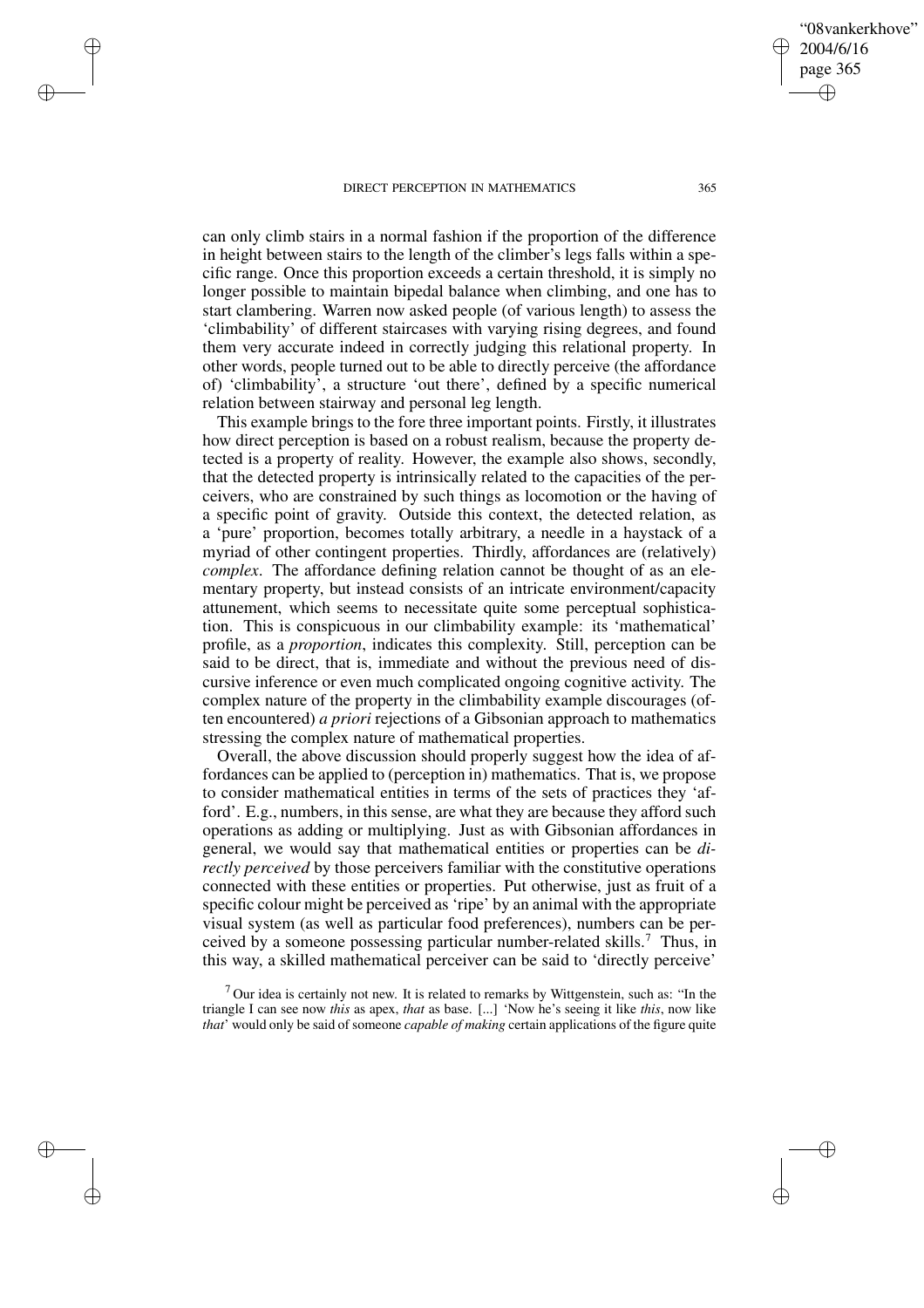✐

✐

✐

✐

can only climb stairs in a normal fashion if the proportion of the difference in height between stairs to the length of the climber's legs falls within a specific range. Once this proportion exceeds a certain threshold, it is simply no longer possible to maintain bipedal balance when climbing, and one has to start clambering. Warren now asked people (of various length) to assess the 'climbability' of different staircases with varying rising degrees, and found them very accurate indeed in correctly judging this relational property. In other words, people turned out to be able to directly perceive (the affordance of) 'climbability', a structure 'out there', defined by a specific numerical relation between stairway and personal leg length.

This example brings to the fore three important points. Firstly, it illustrates how direct perception is based on a robust realism, because the property detected is a property of reality. However, the example also shows, secondly, that the detected property is intrinsically related to the capacities of the perceivers, who are constrained by such things as locomotion or the having of a specific point of gravity. Outside this context, the detected relation, as a 'pure' proportion, becomes totally arbitrary, a needle in a haystack of a myriad of other contingent properties. Thirdly, affordances are (relatively) *complex*. The affordance defining relation cannot be thought of as an elementary property, but instead consists of an intricate environment/capacity attunement, which seems to necessitate quite some perceptual sophistication. This is conspicuous in our climbability example: its 'mathematical' profile, as a *proportion*, indicates this complexity. Still, perception can be said to be direct, that is, immediate and without the previous need of discursive inference or even much complicated ongoing cognitive activity. The complex nature of the property in the climbability example discourages (often encountered) *a priori* rejections of a Gibsonian approach to mathematics stressing the complex nature of mathematical properties.

Overall, the above discussion should properly suggest how the idea of affordances can be applied to (perception in) mathematics. That is, we propose to consider mathematical entities in terms of the sets of practices they 'afford'. E.g., numbers, in this sense, are what they are because they afford such operations as adding or multiplying. Just as with Gibsonian affordances in general, we would say that mathematical entities or properties can be *directly perceived* by those perceivers familiar with the constitutive operations connected with these entities or properties. Put otherwise, just as fruit of a specific colour might be perceived as 'ripe' by an animal with the appropriate visual system (as well as particular food preferences), numbers can be perceived by a someone possessing particular number-related skills.<sup>7</sup> Thus, in this way, a skilled mathematical perceiver can be said to 'directly perceive'

 $7$  Our idea is certainly not new. It is related to remarks by Wittgenstein, such as: "In the triangle I can see now *this* as apex, *that* as base. [...] 'Now he's seeing it like *this*, now like *that*' would only be said of someone *capable of making* certain applications of the figure quite

"08vankerkhove"

2004/6/16 page 365

✐

✐

✐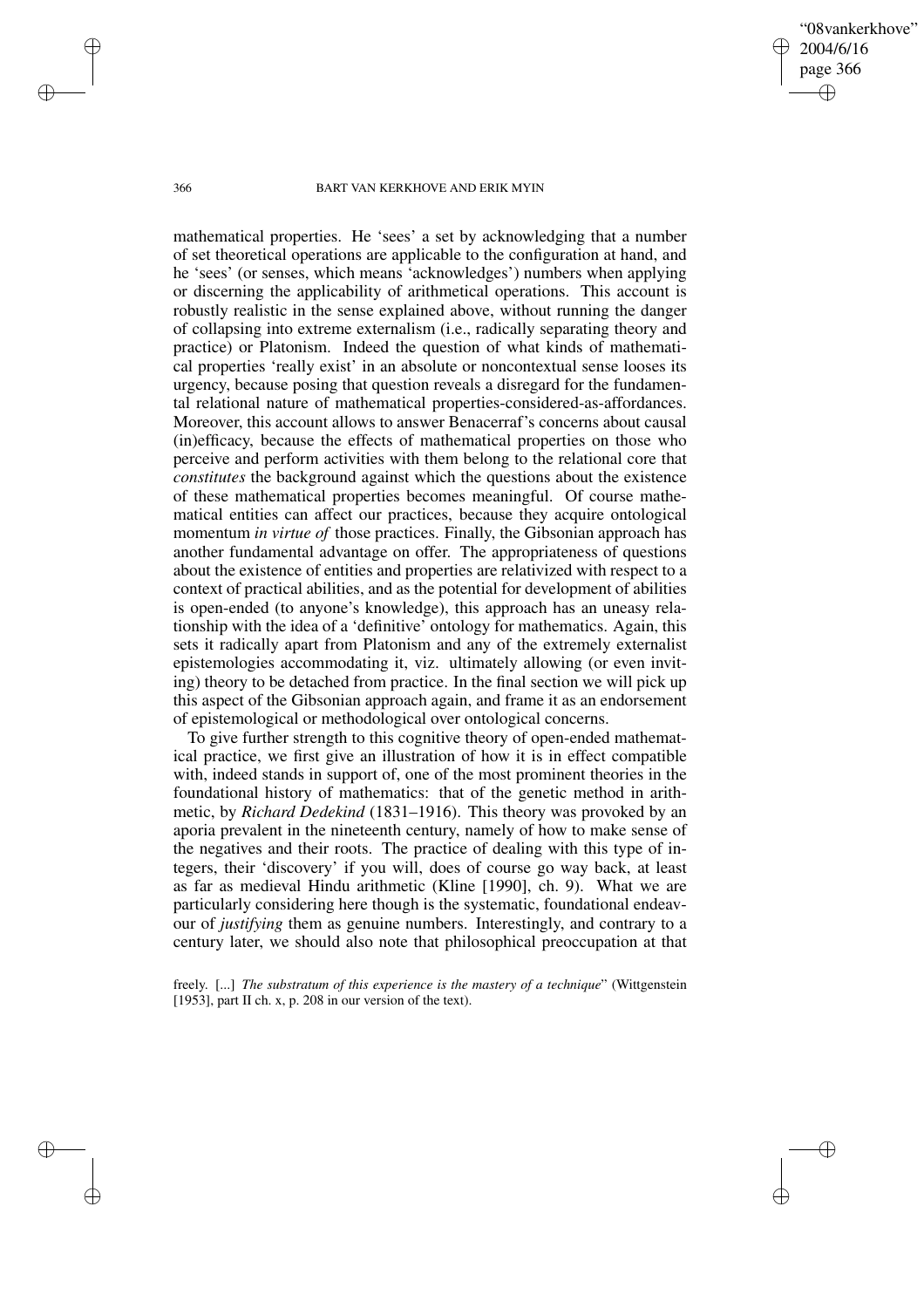"08vankerkhove" 2004/6/16 page 366 ✐ ✐

✐

✐

### 366 BART VAN KERKHOVE AND ERIK MYIN

mathematical properties. He 'sees' a set by acknowledging that a number of set theoretical operations are applicable to the configuration at hand, and he 'sees' (or senses, which means 'acknowledges') numbers when applying or discerning the applicability of arithmetical operations. This account is robustly realistic in the sense explained above, without running the danger of collapsing into extreme externalism (i.e., radically separating theory and practice) or Platonism. Indeed the question of what kinds of mathematical properties 'really exist' in an absolute or noncontextual sense looses its urgency, because posing that question reveals a disregard for the fundamental relational nature of mathematical properties-considered-as-affordances. Moreover, this account allows to answer Benacerraf's concerns about causal (in)efficacy, because the effects of mathematical properties on those who perceive and perform activities with them belong to the relational core that *constitutes* the background against which the questions about the existence of these mathematical properties becomes meaningful. Of course mathematical entities can affect our practices, because they acquire ontological momentum *in virtue of* those practices. Finally, the Gibsonian approach has another fundamental advantage on offer. The appropriateness of questions about the existence of entities and properties are relativized with respect to a context of practical abilities, and as the potential for development of abilities is open-ended (to anyone's knowledge), this approach has an uneasy relationship with the idea of a 'definitive' ontology for mathematics. Again, this sets it radically apart from Platonism and any of the extremely externalist epistemologies accommodating it, viz. ultimately allowing (or even inviting) theory to be detached from practice. In the final section we will pick up this aspect of the Gibsonian approach again, and frame it as an endorsement of epistemological or methodological over ontological concerns.

To give further strength to this cognitive theory of open-ended mathematical practice, we first give an illustration of how it is in effect compatible with, indeed stands in support of, one of the most prominent theories in the foundational history of mathematics: that of the genetic method in arithmetic, by *Richard Dedekind* (1831–1916). This theory was provoked by an aporia prevalent in the nineteenth century, namely of how to make sense of the negatives and their roots. The practice of dealing with this type of integers, their 'discovery' if you will, does of course go way back, at least as far as medieval Hindu arithmetic (Kline [1990], ch. 9). What we are particularly considering here though is the systematic, foundational endeavour of *justifying* them as genuine numbers. Interestingly, and contrary to a century later, we should also note that philosophical preoccupation at that

freely. [...] *The substratum of this experience is the mastery of a technique*" (Wittgenstein [1953], part II ch. x, p. 208 in our version of the text).

✐

✐

✐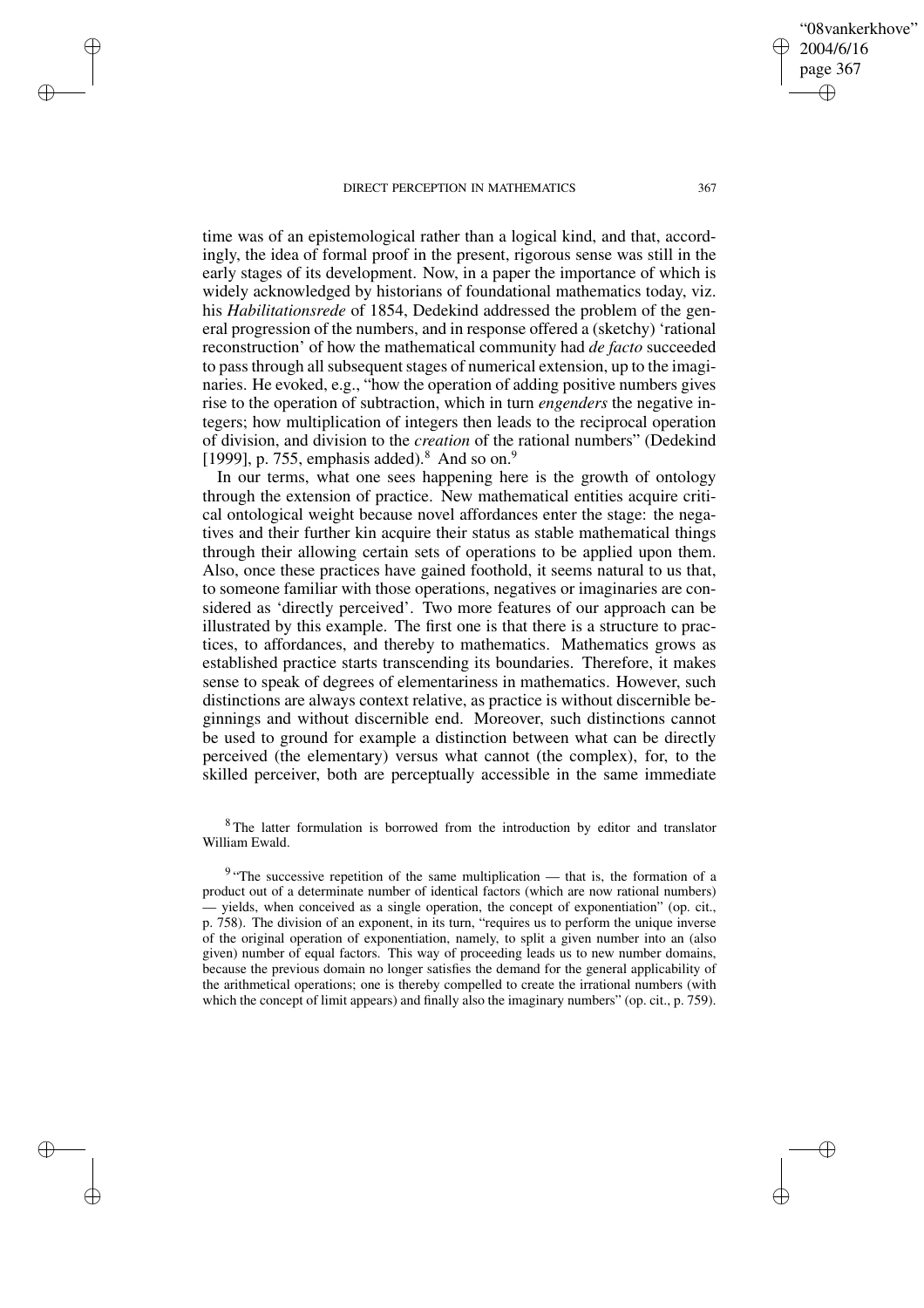✐

✐

✐

✐

time was of an epistemological rather than a logical kind, and that, accordingly, the idea of formal proof in the present, rigorous sense was still in the early stages of its development. Now, in a paper the importance of which is widely acknowledged by historians of foundational mathematics today, viz. his *Habilitationsrede* of 1854, Dedekind addressed the problem of the general progression of the numbers, and in response offered a (sketchy) 'rational reconstruction' of how the mathematical community had *de facto* succeeded to passthrough all subsequent stages of numerical extension, up to the imaginaries. He evoked, e.g., "how the operation of adding positive numbers gives rise to the operation of subtraction, which in turn *engenders* the negative integers; how multiplication of integers then leads to the reciprocal operation

[1999], p. 755, emphasis added). $8$  And so on. $9$ In our terms, what one sees happening here is the growth of ontology through the extension of practice. New mathematical entities acquire critical ontological weight because novel affordances enter the stage: the negatives and their further kin acquire their status as stable mathematical things through their allowing certain sets of operations to be applied upon them. Also, once these practices have gained foothold, it seems natural to us that, to someone familiar with those operations, negatives or imaginaries are considered as 'directly perceived'. Two more features of our approach can be illustrated by this example. The first one is that there is a structure to practices, to affordances, and thereby to mathematics. Mathematics grows as established practice starts transcending its boundaries. Therefore, it makes sense to speak of degrees of elementariness in mathematics. However, such distinctions are always context relative, as practice is without discernible beginnings and without discernible end. Moreover, such distinctions cannot be used to ground for example a distinction between what can be directly perceived (the elementary) versus what cannot (the complex), for, to the skilled perceiver, both are perceptually accessible in the same immediate

of division, and division to the *creation* of the rational numbers" (Dedekind

<sup>8</sup> The latter formulation is borrowed from the introduction by editor and translator William Ewald.

 $9$  "The successive repetition of the same multiplication — that is, the formation of a product out of a determinate number of identical factors (which are now rational numbers) — yields, when conceived as a single operation, the concept of exponentiation" (op. cit., p. 758). The division of an exponent, in its turn, "requires us to perform the unique inverse of the original operation of exponentiation, namely, to split a given number into an (also given) number of equal factors. This way of proceeding leads us to new number domains, because the previous domain no longer satisfies the demand for the general applicability of the arithmetical operations; one is thereby compelled to create the irrational numbers (with which the concept of limit appears) and finally also the imaginary numbers" (op. cit., p. 759).

"08vankerkhove"

2004/6/16 page 367

✐

✐

✐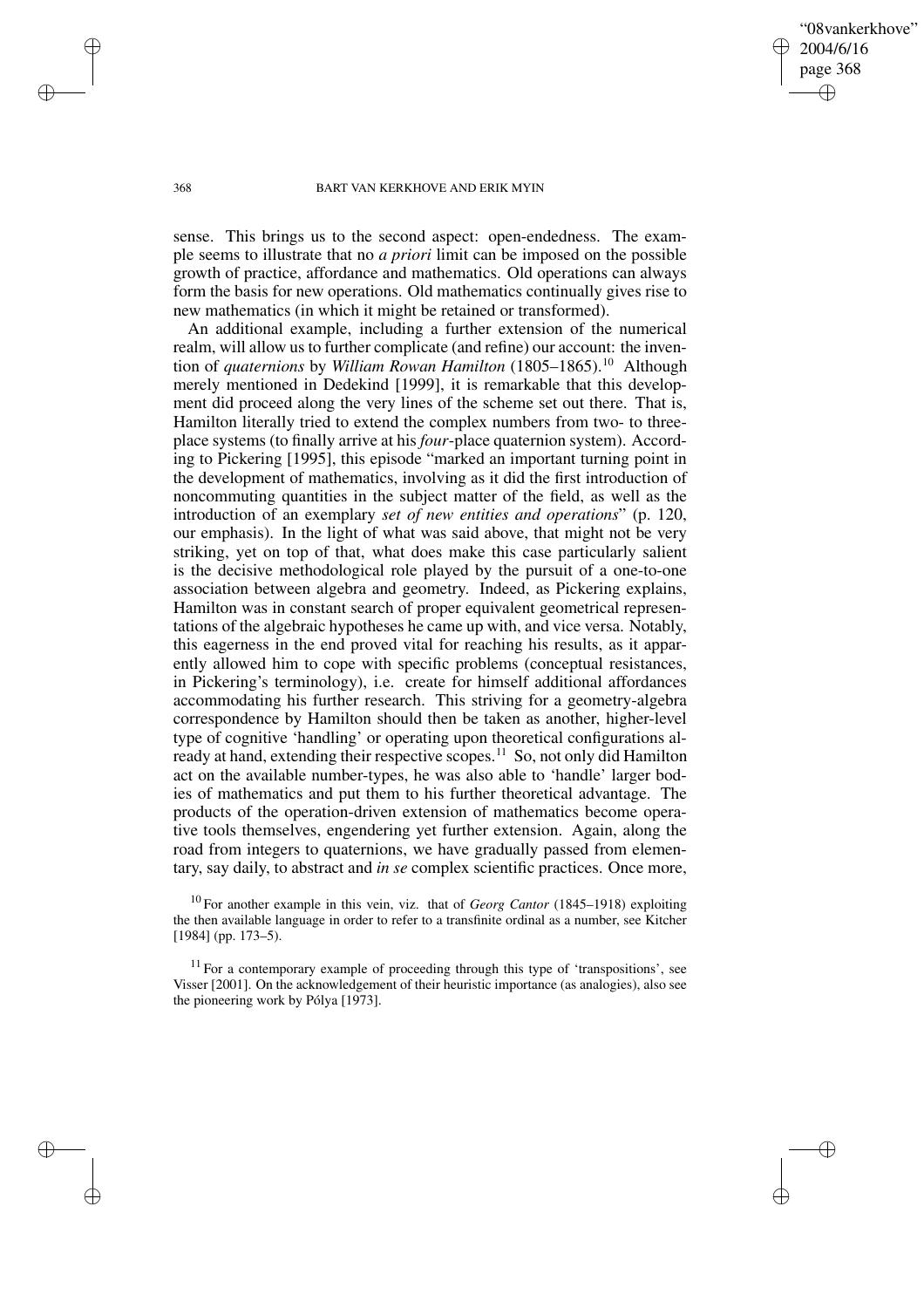"08vankerkhove" 2004/6/16 page 368 ✐ ✐

✐

✐

### 368 BART VAN KERKHOVE AND ERIK MYIN

sense. This brings us to the second aspect: open-endedness. The example seems to illustrate that no *a priori* limit can be imposed on the possible growth of practice, affordance and mathematics. Old operations can always form the basis for new operations. Old mathematics continually gives rise to new mathematics (in which it might be retained or transformed).

An additional example, including a further extension of the numerical realm, will allow us to further complicate (and refine) our account: the invention of *quaternions* by *William Rowan Hamilton* (1805–1865).<sup>10</sup> Although merely mentioned in Dedekind [1999], it is remarkable that this development did proceed along the very lines of the scheme set out there. That is, Hamilton literally tried to extend the complex numbers from two- to threeplace systems (to finally arrive at his *four*-place quaternion system). According to Pickering [1995], this episode "marked an important turning point in the development of mathematics, involving as it did the first introduction of noncommuting quantities in the subject matter of the field, as well as the introduction of an exemplary *set of new entities and operations*" (p. 120, our emphasis). In the light of what was said above, that might not be very striking, yet on top of that, what does make this case particularly salient is the decisive methodological role played by the pursuit of a one-to-one association between algebra and geometry. Indeed, as Pickering explains, Hamilton was in constant search of proper equivalent geometrical representations of the algebraic hypotheses he came up with, and vice versa. Notably, this eagerness in the end proved vital for reaching his results, as it apparently allowed him to cope with specific problems (conceptual resistances, in Pickering's terminology), i.e. create for himself additional affordances accommodating his further research. This striving for a geometry-algebra correspondence by Hamilton should then be taken as another, higher-level type of cognitive 'handling' or operating upon theoretical configurations already at hand, extending their respective scopes.<sup>11</sup> So, not only did Hamilton act on the available number-types, he was also able to 'handle' larger bodies of mathematics and put them to his further theoretical advantage. The products of the operation-driven extension of mathematics become operative tools themselves, engendering yet further extension. Again, along the road from integers to quaternions, we have gradually passed from elementary, say daily, to abstract and *in se* complex scientific practices. Once more,

<sup>10</sup> For another example in this vein, viz. that of *Georg Cantor* (1845–1918) exploiting the then available language in order to refer to a transfinite ordinal as a number, see Kitcher [1984] (pp. 173–5).

 $11$  For a contemporary example of proceeding through this type of 'transpositions', see Visser [2001]. On the acknowledgement of their heuristic importance (as analogies), also see the pioneering work by Pólya [1973].

✐

✐

✐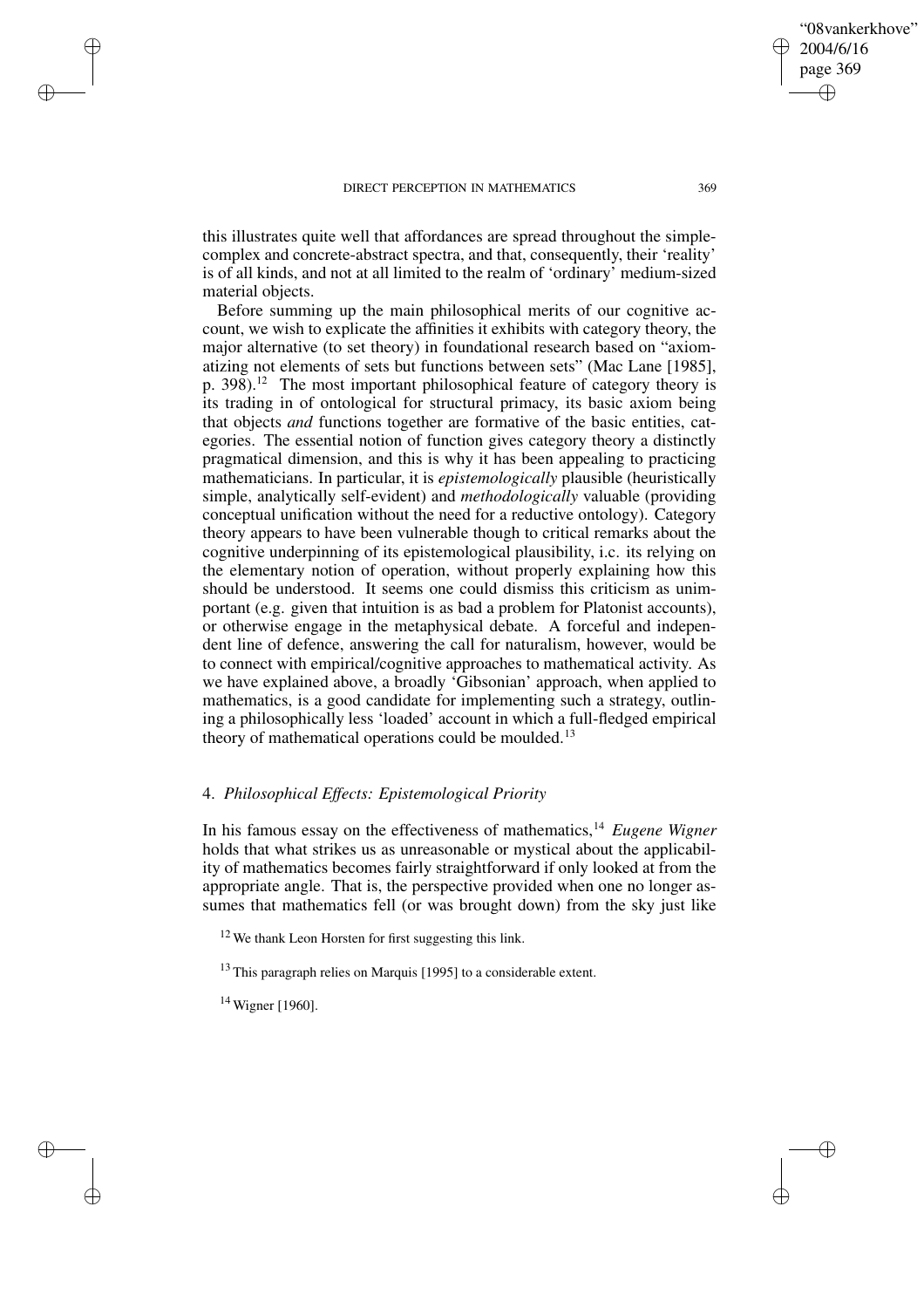is of all kinds, and not at all limited to the realm of 'ordinary' medium-sized

this illustrates quite well that affordances are spread throughout the simplecomplex and concrete-abstract spectra, and that, consequently, their 'reality'

material objects. Before summing up the main philosophical merits of our cognitive account, we wish to explicate the affinities it exhibits with category theory, the major alternative (to set theory) in foundational research based on "axiomatizing not elements of sets but functions between sets" (Mac Lane [1985], p. 398).<sup>12</sup> The most important philosophical feature of category theory is its trading in of ontological for structural primacy, its basic axiom being that objects *and* functions together are formative of the basic entities, categories. The essential notion of function gives category theory a distinctly pragmatical dimension, and this is why it has been appealing to practicing mathematicians. In particular, it is *epistemologically* plausible (heuristically simple, analytically self-evident) and *methodologically* valuable (providing conceptual unification without the need for a reductive ontology). Category theory appears to have been vulnerable though to critical remarks about the cognitive underpinning of its epistemological plausibility, i.c. its relying on the elementary notion of operation, without properly explaining how this should be understood. It seems one could dismiss this criticism as unimportant (e.g. given that intuition is as bad a problem for Platonist accounts), or otherwise engage in the metaphysical debate. A forceful and independent line of defence, answering the call for naturalism, however, would be to connect with empirical/cognitive approaches to mathematical activity. As we have explained above, a broadly 'Gibsonian' approach, when applied to mathematics, is a good candidate for implementing such a strategy, outlining a philosophically less 'loaded' account in which a full-fledged empirical theory of mathematical operations could be moulded.<sup>13</sup>

## 4. *Philosophical Effects: Epistemological Priority*

In his famous essay on the effectiveness of mathematics,<sup>14</sup> *Eugene Wigner* holds that what strikes us as unreasonable or mystical about the applicability of mathematics becomes fairly straightforward if only looked at from the appropriate angle. That is, the perspective provided when one no longer assumes that mathematics fell (or was brought down) from the sky just like

 $12$  We thank Leon Horsten for first suggesting this link.

<sup>13</sup> This paragraph relies on Marquis [1995] to a considerable extent.

 $14$  Wigner [1960].

✐

✐

✐

✐

"08vankerkhove"

2004/6/16 page 369

✐

✐

✐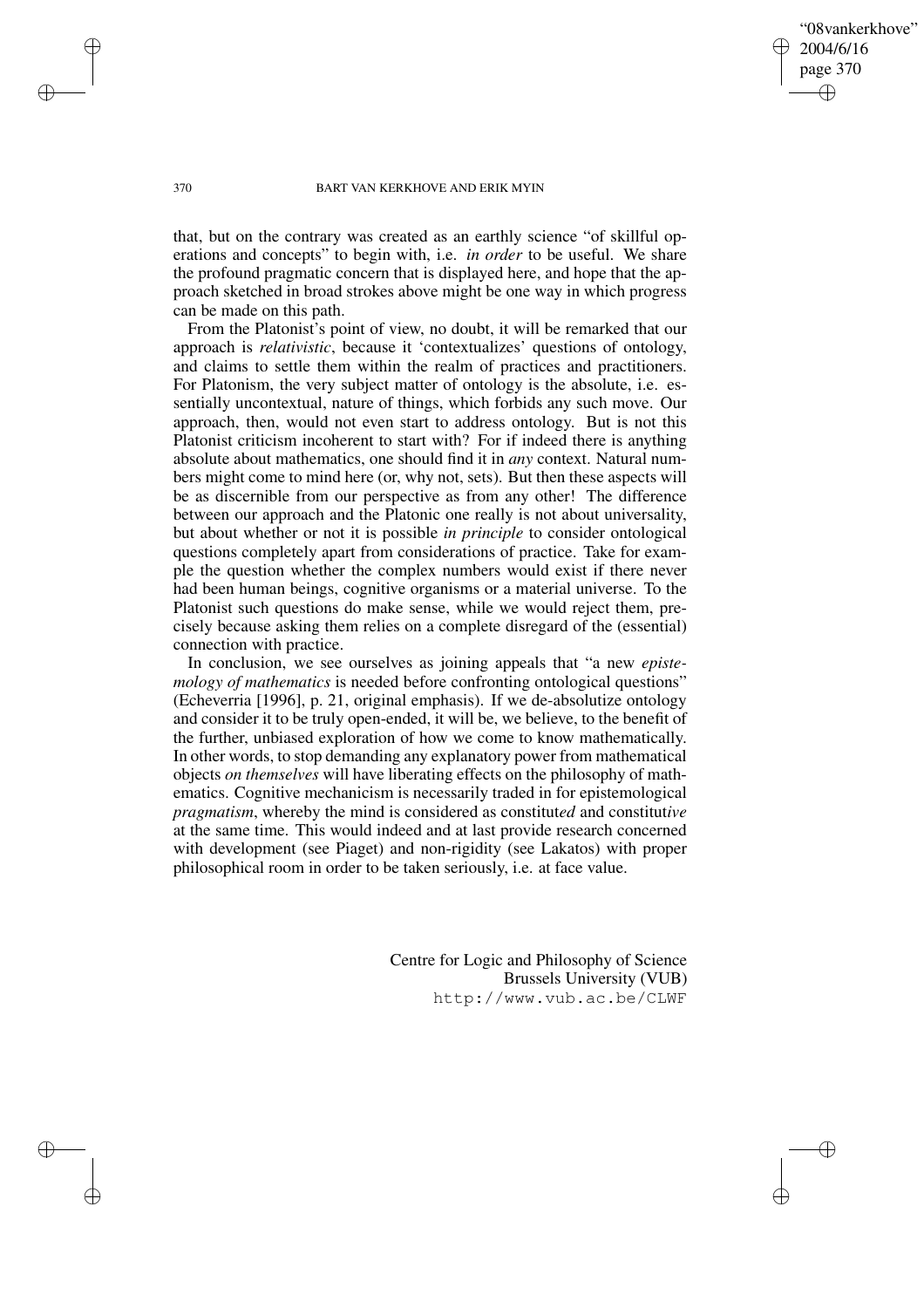"08vankerkhove" 2004/6/16 page 370 ✐ ✐

✐

✐

### 370 BART VAN KERKHOVE AND ERIK MYIN

✐

✐

✐

✐

that, but on the contrary was created as an earthly science "of skillful operations and concepts" to begin with, i.e. *in order* to be useful. We share the profound pragmatic concern that is displayed here, and hope that the approach sketched in broad strokes above might be one way in which progress can be made on this path.

From the Platonist's point of view, no doubt, it will be remarked that our approach is *relativistic*, because it 'contextualizes' questions of ontology, and claims to settle them within the realm of practices and practitioners. For Platonism, the very subject matter of ontology is the absolute, i.e. essentially uncontextual, nature of things, which forbids any such move. Our approach, then, would not even start to address ontology. But is not this Platonist criticism incoherent to start with? For if indeed there is anything absolute about mathematics, one should find it in *any* context. Natural numbers might come to mind here (or, why not, sets). But then these aspects will be as discernible from our perspective as from any other! The difference between our approach and the Platonic one really is not about universality, but about whether or not it is possible *in principle* to consider ontological questions completely apart from considerations of practice. Take for example the question whether the complex numbers would exist if there never had been human beings, cognitive organisms or a material universe. To the Platonist such questions do make sense, while we would reject them, precisely because asking them relies on a complete disregard of the (essential) connection with practice.

In conclusion, we see ourselves as joining appeals that "a new *epistemology of mathematics* is needed before confronting ontological questions" (Echeverria [1996], p. 21, original emphasis). If we de-absolutize ontology and consider it to be truly open-ended, it will be, we believe, to the benefit of the further, unbiased exploration of how we come to know mathematically. In other words, to stop demanding any explanatory power from mathematical objects *on themselves* will have liberating effects on the philosophy of mathematics. Cognitive mechanicism is necessarily traded in for epistemological *pragmatism*, whereby the mind is considered as constitut*ed* and constitut*ive* at the same time. This would indeed and at last provide research concerned with development (see Piaget) and non-rigidity (see Lakatos) with proper philosophical room in order to be taken seriously, i.e. at face value.

> Centre for Logic and Philosophy of Science Brussels University (VUB) http://www.vub.ac.be/CLWF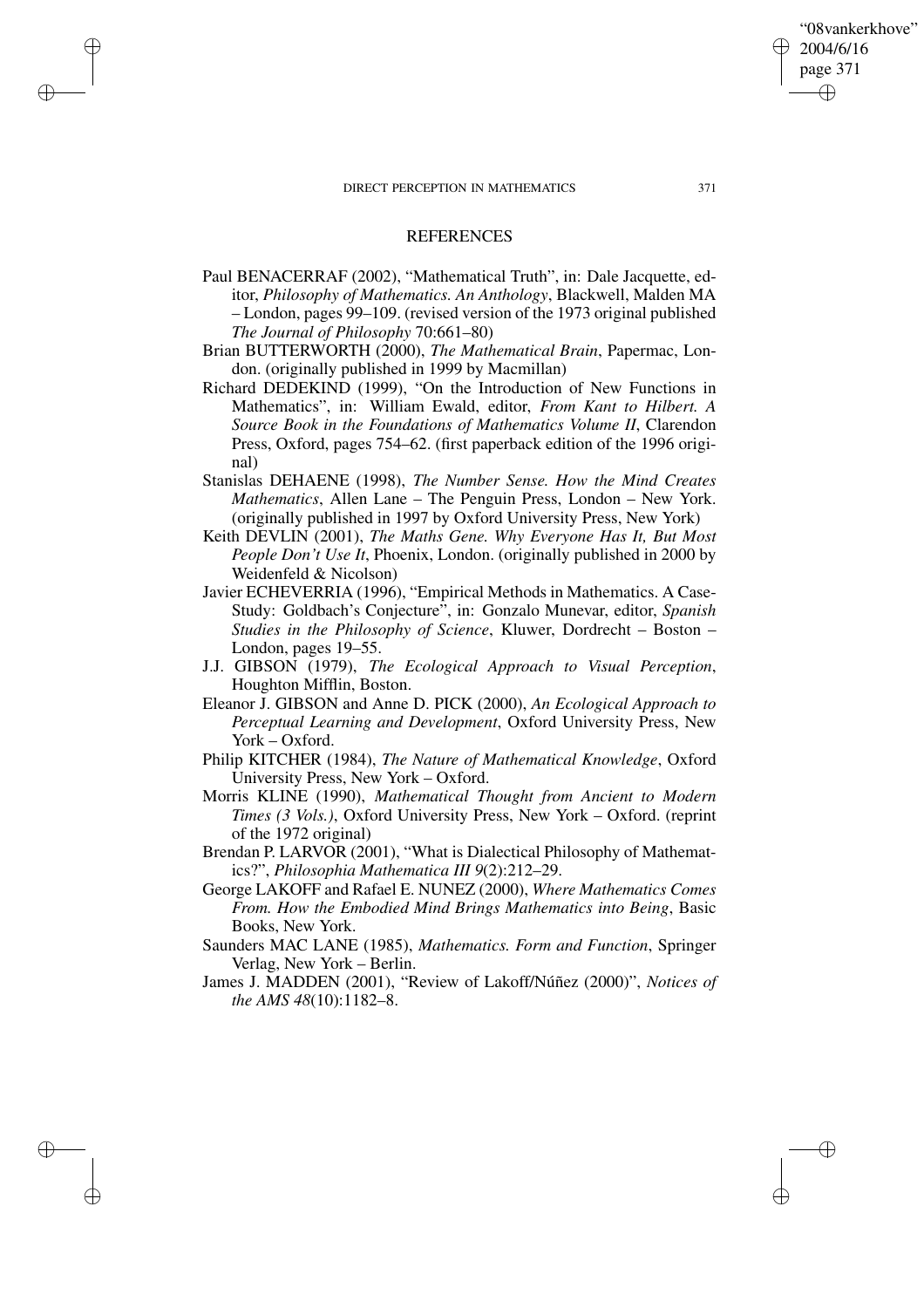✐

✐

✐

✐

# **REFERENCES**

- Paul BENACERRAF (2002), "Mathematical Truth", in: Dale Jacquette, editor, *Philosophy of Mathematics. An Anthology*, Blackwell, Malden MA – London, pages 99–109. (revised version of the 1973 original published *The Journal of Philosophy* 70:661–80)
- Brian BUTTERWORTH (2000), *The Mathematical Brain*, Papermac, London. (originally published in 1999 by Macmillan)
- Richard DEDEKIND (1999), "On the Introduction of New Functions in Mathematics", in: William Ewald, editor, *From Kant to Hilbert. A Source Book in the Foundations of Mathematics Volume II*, Clarendon Press, Oxford, pages 754–62. (first paperback edition of the 1996 original)
- Stanislas DEHAENE (1998), *The Number Sense. How the Mind Creates Mathematics*, Allen Lane – The Penguin Press, London – New York. (originally published in 1997 by Oxford University Press, New York)
- Keith DEVLIN (2001), *The Maths Gene. Why Everyone Has It, But Most People Don't Use It*, Phoenix, London. (originally published in 2000 by Weidenfeld & Nicolson)
- Javier ECHEVERRIA (1996), "Empirical Methods in Mathematics. A Case-Study: Goldbach's Conjecture", in: Gonzalo Munevar, editor, *Spanish Studies in the Philosophy of Science*, Kluwer, Dordrecht – Boston – London, pages 19–55.
- J.J. GIBSON (1979), *The Ecological Approach to Visual Perception*, Houghton Mifflin, Boston.
- Eleanor J. GIBSON and Anne D. PICK (2000), *An Ecological Approach to Perceptual Learning and Development*, Oxford University Press, New York – Oxford.
- Philip KITCHER (1984), *The Nature of Mathematical Knowledge*, Oxford University Press, New York – Oxford.
- Morris KLINE (1990), *Mathematical Thought from Ancient to Modern Times (3 Vols.)*, Oxford University Press, New York – Oxford. (reprint of the 1972 original)
- Brendan P. LARVOR (2001), "What is Dialectical Philosophy of Mathematics?", *Philosophia Mathematica III 9*(2):212–29.
- George LAKOFF and Rafael E. NUNEZ (2000), *Where Mathematics Comes From. How the Embodied Mind Brings Mathematics into Being*, Basic Books, New York.
- Saunders MAC LANE (1985), *Mathematics. Form and Function*, Springer Verlag, New York – Berlin.
- James J. MADDEN (2001), "Review of Lakoff/Núñez (2000)", *Notices of the AMS 48*(10):1182–8.

"08vankerkhove" 2004/6/16 page 371 ✐ ✐

✐